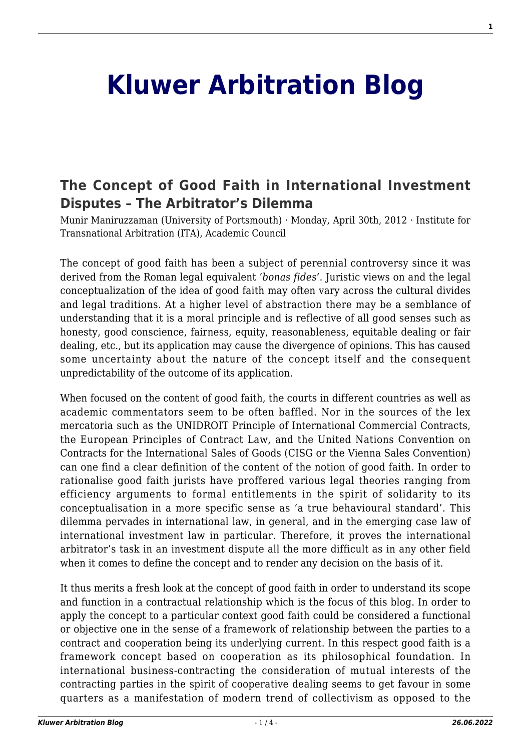## **[Kluwer Arbitration Blog](http://arbitrationblog.kluwerarbitration.com/)**

## **[The Concept of Good Faith in International Investment](http://arbitrationblog.kluwerarbitration.com/2012/04/30/the-concept-of-good-faith-in-international-investment-disputes-the-arbitrators-dilemma-2/) [Disputes – The Arbitrator's Dilemma](http://arbitrationblog.kluwerarbitration.com/2012/04/30/the-concept-of-good-faith-in-international-investment-disputes-the-arbitrators-dilemma-2/)**

Munir Maniruzzaman (University of Portsmouth) · Monday, April 30th, 2012 · Institute for Transnational Arbitration (ITA), Academic Council

The concept of good faith has been a subject of perennial controversy since it was derived from the Roman legal equivalent '*bonas fides'*. Juristic views on and the legal conceptualization of the idea of good faith may often vary across the cultural divides and legal traditions. At a higher level of abstraction there may be a semblance of understanding that it is a moral principle and is reflective of all good senses such as honesty, good conscience, fairness, equity, reasonableness, equitable dealing or fair dealing, etc., but its application may cause the divergence of opinions. This has caused some uncertainty about the nature of the concept itself and the consequent unpredictability of the outcome of its application.

When focused on the content of good faith, the courts in different countries as well as academic commentators seem to be often baffled. Nor in the sources of the lex mercatoria such as the UNIDROIT Principle of International Commercial Contracts, the European Principles of Contract Law, and the United Nations Convention on Contracts for the International Sales of Goods (CISG or the Vienna Sales Convention) can one find a clear definition of the content of the notion of good faith. In order to rationalise good faith jurists have proffered various legal theories ranging from efficiency arguments to formal entitlements in the spirit of solidarity to its conceptualisation in a more specific sense as 'a true behavioural standard'. This dilemma pervades in international law, in general, and in the emerging case law of international investment law in particular. Therefore, it proves the international arbitrator's task in an investment dispute all the more difficult as in any other field when it comes to define the concept and to render any decision on the basis of it.

It thus merits a fresh look at the concept of good faith in order to understand its scope and function in a contractual relationship which is the focus of this blog. In order to apply the concept to a particular context good faith could be considered a functional or objective one in the sense of a framework of relationship between the parties to a contract and cooperation being its underlying current. In this respect good faith is a framework concept based on cooperation as its philosophical foundation. In international business-contracting the consideration of mutual interests of the contracting parties in the spirit of cooperative dealing seems to get favour in some quarters as a manifestation of modern trend of collectivism as opposed to the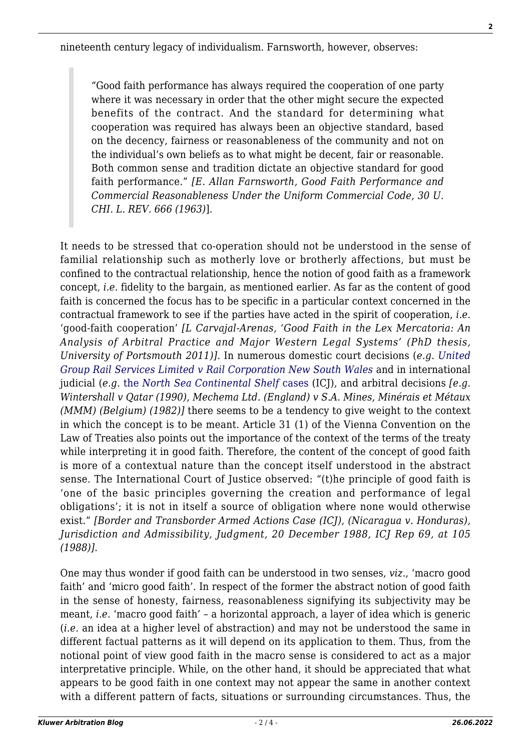"Good faith performance has always required the cooperation of one party where it was necessary in order that the other might secure the expected benefits of the contract. And the standard for determining what cooperation was required has always been an objective standard, based on the decency, fairness or reasonableness of the community and not on the individual's own beliefs as to what might be decent, fair or reasonable. Both common sense and tradition dictate an objective standard for good faith performance." *[E. Allan Farnsworth, Good Faith Performance and Commercial Reasonableness Under the Uniform Commercial Code, 30 U. CHI. L. REV. 666 (1963)*].

It needs to be stressed that co-operation should not be understood in the sense of familial relationship such as motherly love or brotherly affections, but must be confined to the contractual relationship, hence the notion of good faith as a framework concept, *i.e.* fidelity to the bargain, as mentioned earlier. As far as the content of good faith is concerned the focus has to be specific in a particular context concerned in the contractual framework to see if the parties have acted in the spirit of cooperation, *i.e.* 'good-faith cooperation' *[L Carvajal-Arenas, 'Good Faith in the Lex Mercatoria: An Analysis of Arbitral Practice and Major Western Legal Systems' (PhD thesis, University of Portsmouth 2011)]*. In numerous domestic court decisions (*e.g. [United](http://www.austlii.edu.au/au/cases/nsw/NSWCA/2009/177.html) [Group Rail Services Limited v Rail Corporation New South Wales](http://www.austlii.edu.au/au/cases/nsw/NSWCA/2009/177.html)* and in international judicial (*e.g.* [the](http://www.icj-cij.org/docket/files/52/5561.pdf) *[North Sea Continental Shelf](http://www.icj-cij.org/docket/files/52/5561.pdf)* [cases](http://www.icj-cij.org/docket/files/52/5561.pdf) (ICJ), and arbitral decisions *[e.g. Wintershall v Qatar (1990), Mechema Ltd. (England) v S.A. Mines, Minérais et Métaux (MMM) (Belgium) (1982)]* there seems to be a tendency to give weight to the context in which the concept is to be meant. Article 31 (1) of the Vienna Convention on the Law of Treaties also points out the importance of the context of the terms of the treaty while interpreting it in good faith. Therefore, the content of the concept of good faith is more of a contextual nature than the concept itself understood in the abstract sense. The International Court of Justice observed: "(t)he principle of good faith is 'one of the basic principles governing the creation and performance of legal obligations'; it is not in itself a source of obligation where none would otherwise exist." *[Border and Transborder Armed Actions Case (ICJ), (Nicaragua v. Honduras), Jurisdiction and Admissibility, Judgment, 20 December 1988, ICJ Rep 69, at 105 (1988)]*.

One may thus wonder if good faith can be understood in two senses, *viz*., 'macro good faith' and 'micro good faith'. In respect of the former the abstract notion of good faith in the sense of honesty, fairness, reasonableness signifying its subjectivity may be meant, *i.e.* 'macro good faith' – a horizontal approach, a layer of idea which is generic (*i.e.* an idea at a higher level of abstraction) and may not be understood the same in different factual patterns as it will depend on its application to them. Thus, from the notional point of view good faith in the macro sense is considered to act as a major interpretative principle. While, on the other hand, it should be appreciated that what appears to be good faith in one context may not appear the same in another context with a different pattern of facts, situations or surrounding circumstances. Thus, the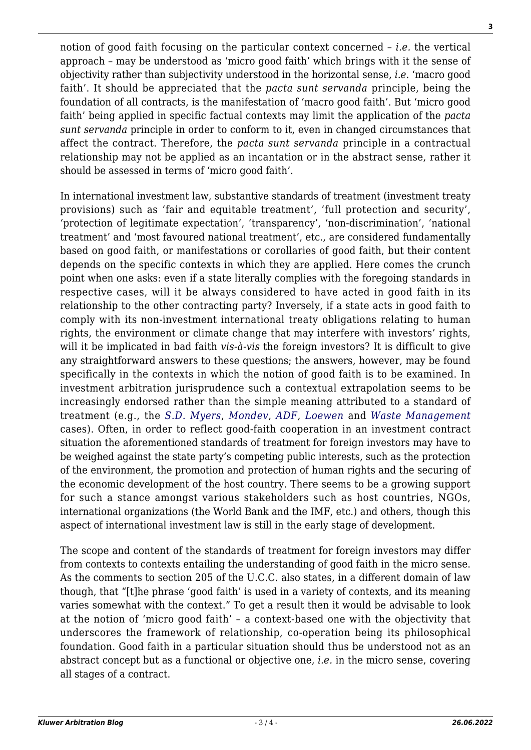notion of good faith focusing on the particular context concerned – *i.e.* the vertical approach – may be understood as 'micro good faith' which brings with it the sense of objectivity rather than subjectivity understood in the horizontal sense, *i.e.* 'macro good faith'. It should be appreciated that the *pacta sunt servanda* principle, being the foundation of all contracts, is the manifestation of 'macro good faith'. But 'micro good faith' being applied in specific factual contexts may limit the application of the *pacta sunt servanda* principle in order to conform to it, even in changed circumstances that affect the contract. Therefore, the *pacta sunt servanda* principle in a contractual relationship may not be applied as an incantation or in the abstract sense, rather it should be assessed in terms of 'micro good faith'.

In international investment law, substantive standards of treatment (investment treaty provisions) such as 'fair and equitable treatment', 'full protection and security', 'protection of legitimate expectation', 'transparency', 'non-discrimination', 'national treatment' and 'most favoured national treatment', etc., are considered fundamentally based on good faith, or manifestations or corollaries of good faith, but their content depends on the specific contexts in which they are applied. Here comes the crunch point when one asks: even if a state literally complies with the foregoing standards in respective cases, will it be always considered to have acted in good faith in its relationship to the other contracting party? Inversely, if a state acts in good faith to comply with its non-investment international treaty obligations relating to human rights, the environment or climate change that may interfere with investors' rights, will it be implicated in bad faith *vis-à-vis* the foreign investors? It is difficult to give any straightforward answers to these questions; the answers, however, may be found specifically in the contexts in which the notion of good faith is to be examined. In investment arbitration jurisprudence such a contextual extrapolation seems to be increasingly endorsed rather than the simple meaning attributed to a standard of treatment (e.g., the *[S.D. Myers](http://italaw.com/documents/SDMeyers-1stPartialAward.pdf)*, *[Mondev](http://italaw.com/documents/Mondev-Final.pdf)*, *[ADF](http://italaw.com/documents/ADF-award_000.pdf)*, *[Loewen](http://italaw.com/documents/Loewen-Award-2.pdf)* and *[Waste Management](http://italaw.com/documents/laudo_ingles.pdf)* cases). Often, in order to reflect good-faith cooperation in an investment contract situation the aforementioned standards of treatment for foreign investors may have to be weighed against the state party's competing public interests, such as the protection of the environment, the promotion and protection of human rights and the securing of the economic development of the host country. There seems to be a growing support for such a stance amongst various stakeholders such as host countries, NGOs, international organizations (the World Bank and the IMF, etc.) and others, though this aspect of international investment law is still in the early stage of development.

The scope and content of the standards of treatment for foreign investors may differ from contexts to contexts entailing the understanding of good faith in the micro sense. As the comments to section 205 of the U.C.C. also states, in a different domain of law though, that "[t]he phrase 'good faith' is used in a variety of contexts, and its meaning varies somewhat with the context." To get a result then it would be advisable to look at the notion of 'micro good faith' – a context-based one with the objectivity that underscores the framework of relationship, co-operation being its philosophical foundation. Good faith in a particular situation should thus be understood not as an abstract concept but as a functional or objective one, *i.e.* in the micro sense, covering all stages of a contract.